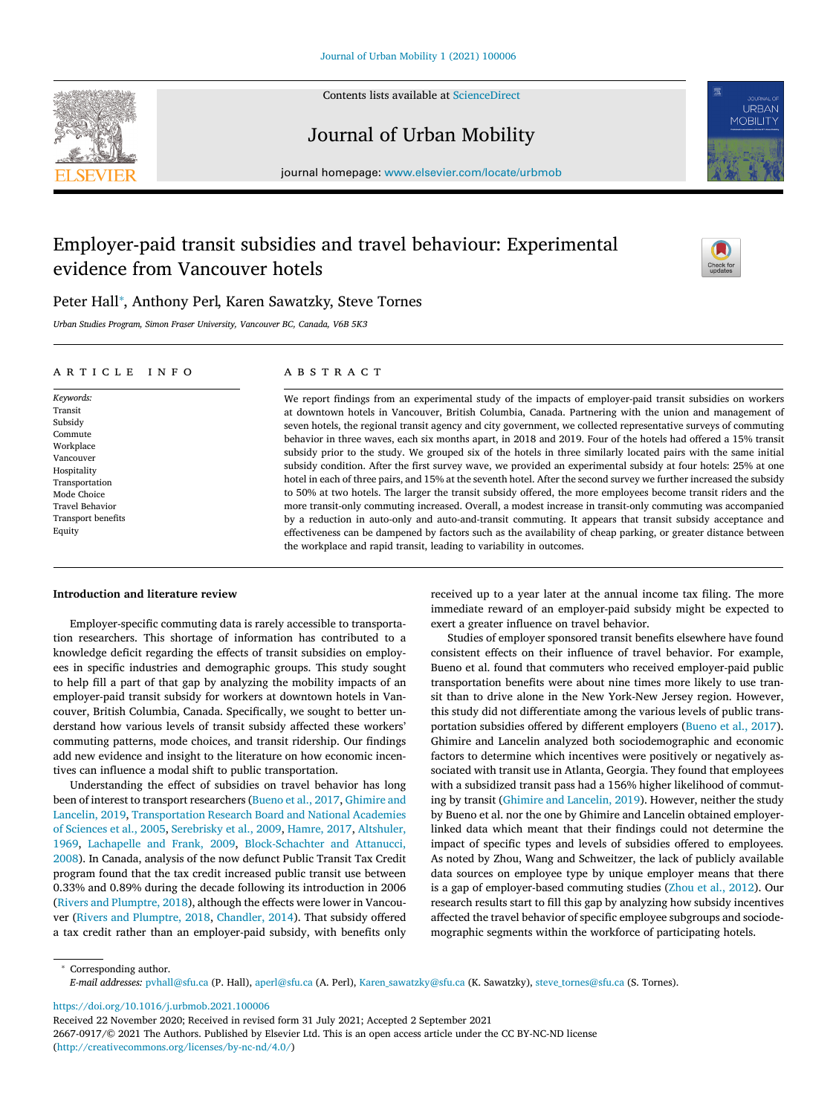Contents lists available at [ScienceDirect](http://www.ScienceDirect.com)



Journal of Urban Mobility

journal homepage: [www.elsevier.com/locate/urbmob](http://www.elsevier.com/locate/urbmob)

## Employer-paid transit subsidies and travel behaviour: Experimental evidence from Vancouver hotels



## Peter Hall<sup>∗</sup> , Anthony Perl, Karen Sawatzky, Steve Tornes

*Urban Studies Program, Simon Fraser University, Vancouver BC, Canada, V6B 5K3*

## a r t i c l e i n f o

*Keywords:* Transit Subsidy **Commute** Workplace Vancouver Hospitality Transportation Mode Choice Travel Behavior Transport benefits Equity

## A B S T R A C T

We report findings from an experimental study of the impacts of employer-paid transit subsidies on workers at downtown hotels in Vancouver, British Columbia, Canada. Partnering with the union and management of seven hotels, the regional transit agency and city government, we collected representative surveys of commuting behavior in three waves, each six months apart, in 2018 and 2019. Four of the hotels had offered a 15% transit subsidy prior to the study. We grouped six of the hotels in three similarly located pairs with the same initial subsidy condition. After the first survey wave, we provided an experimental subsidy at four hotels: 25% at one hotel in each of three pairs, and 15% at the seventh hotel. After the second survey we further increased the subsidy to 50% at two hotels. The larger the transit subsidy offered, the more employees become transit riders and the more transit-only commuting increased. Overall, a modest increase in transit-only commuting was accompanied by a reduction in auto-only and auto-and-transit commuting. It appears that transit subsidy acceptance and effectiveness can be dampened by factors such as the availability of cheap parking, or greater distance between the workplace and rapid transit, leading to variability in outcomes.

## **Introduction and literature review**

Employer-specific commuting data is rarely accessible to transportation researchers. This shortage of information has contributed to a knowledge deficit regarding the effects of transit subsidies on employees in specific industries and demographic groups. This study sought to help fill a part of that gap by analyzing the mobility impacts of an employer-paid transit subsidy for workers at downtown hotels in Vancouver, British Columbia, Canada. Specifically, we sought to better understand how various levels of transit subsidy affected these workers' commuting patterns, mode choices, and transit ridership. Our findings add new evidence and insight to the literature on how economic incentives can influence a modal shift to public transportation.

Understanding the effect of subsidies on travel behavior has long been of interest to transport researchers [\(Bueno](#page-6-0) et al., 2017, Ghimire and Lancelin, 2019, [Transportation](#page-6-0) Research Board and National Academies of Sciences et al., 2005, [Serebrisky](#page-6-0) et al., 2009, [Hamre,](#page-6-0) 2017, Altshuler, 1969, [Lachapelle](#page-6-0) and Frank, 2009, [Block-Schachter](#page-6-0) and Attanucci, 2008). In Canada, analysis of the now defunct Public Transit Tax Credit program found that the tax credit increased public transit use between 0.33% and 0.89% during the decade following its introduction in 2006 (Rivers and [Plumptre,](#page-6-0) 2018), although the effects were lower in Vancouver (Rivers and [Plumptre,](#page-6-0) 2018, [Chandler,](#page-6-0) 2014). That subsidy offered a tax credit rather than an employer-paid subsidy, with benefits only received up to a year later at the annual income tax filing. The more immediate reward of an employer-paid subsidy might be expected to exert a greater influence on travel behavior.

Studies of employer sponsored transit benefits elsewhere have found consistent effects on their influence of travel behavior. For example, Bueno et al. found that commuters who received employer-paid public transportation benefits were about nine times more likely to use transit than to drive alone in the New York-New Jersey region. However, this study did not differentiate among the various levels of public transportation subsidies offered by different employers [\(Bueno](#page-6-0) et al., 2017). Ghimire and Lancelin analyzed both sociodemographic and economic factors to determine which incentives were positively or negatively associated with transit use in Atlanta, Georgia. They found that employees with a subsidized transit pass had a 156% higher likelihood of commuting by transit (Ghimire and [Lancelin,](#page-6-0) 2019). However, neither the study by Bueno et al. nor the one by Ghimire and Lancelin obtained employerlinked data which meant that their findings could not determine the impact of specific types and levels of subsidies offered to employees. As noted by Zhou, Wang and Schweitzer, the lack of publicly available data sources on employee type by unique employer means that there is a gap of employer-based commuting studies [\(Zhou](#page-7-0) et al., 2012). Our research results start to fill this gap by analyzing how subsidy incentives affected the travel behavior of specific employee subgroups and sociodemographic segments within the workforce of participating hotels.

<sup>∗</sup> Corresponding author. *E-mail addresses:* [pvhall@sfu.ca](mailto:pvhall@sfu.ca) (P. Hall), [aperl@sfu.ca](mailto:aperl@sfu.ca) (A. Perl), [Karen\\_sawatzky@sfu.ca](mailto:Karen_sawatzky@sfu.ca) (K. Sawatzky), [steve\\_tornes@sfu.ca](mailto:steve_tornes@sfu.ca) (S. Tornes).

<https://doi.org/10.1016/j.urbmob.2021.100006>

Received 22 November 2020; Received in revised form 31 July 2021; Accepted 2 September 2021

<sup>2667-0917/© 2021</sup> The Authors. Published by Elsevier Ltd. This is an open access article under the CC BY-NC-ND license [\(http://creativecommons.org/licenses/by-nc-nd/4.0/\)](http://creativecommons.org/licenses/by-nc-nd/4.0/)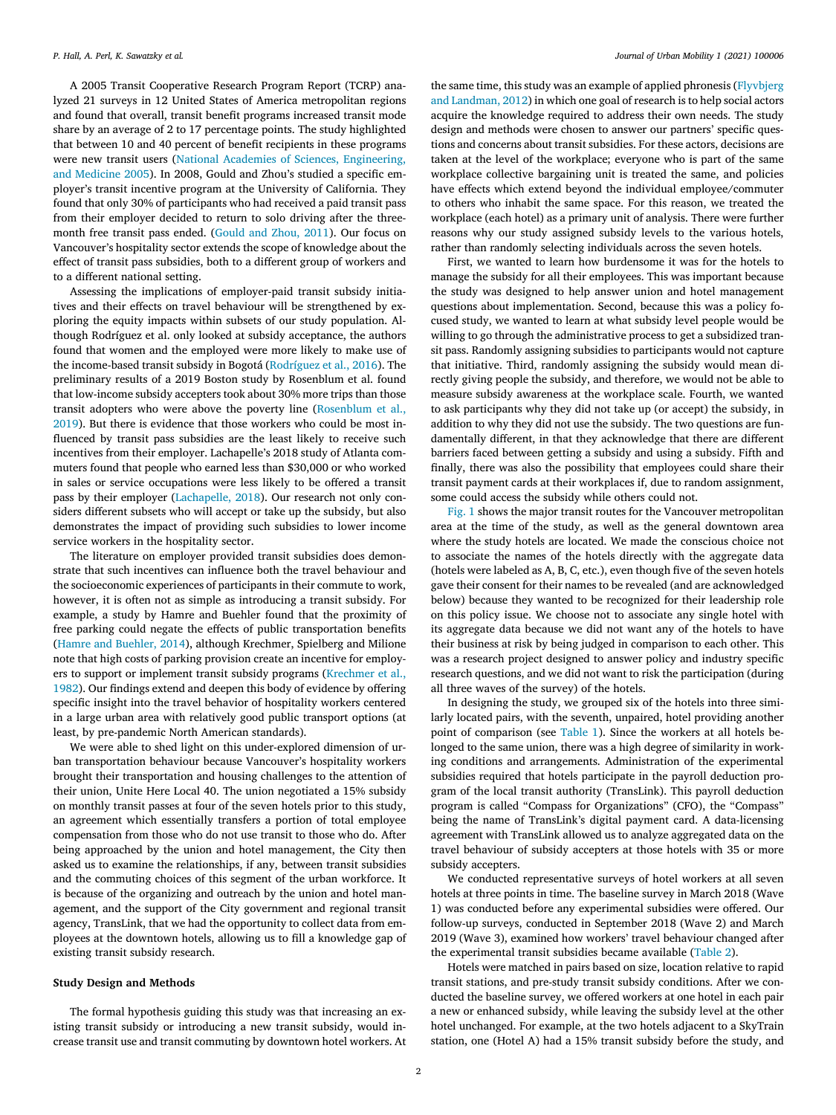A 2005 Transit Cooperative Research Program Report (TCRP) analyzed 21 surveys in 12 United States of America metropolitan regions and found that overall, transit benefit programs increased transit mode share by an average of 2 to 17 percentage points. The study highlighted that between 10 and 40 percent of benefit recipients in these programs were new transit users (National Academies of Sciences, [Engineering,](#page-6-0) and Medicine 2005). In 2008, Gould and Zhou's studied a specific employer's transit incentive program at the University of California. They found that only 30% of participants who had received a paid transit pass from their employer decided to return to solo driving after the threemonth free transit pass ended. [\(Gould](#page-6-0) and Zhou, 2011). Our focus on Vancouver's hospitality sector extends the scope of knowledge about the effect of transit pass subsidies, both to a different group of workers and to a different national setting.

Assessing the implications of employer-paid transit subsidy initiatives and their effects on travel behaviour will be strengthened by exploring the equity impacts within subsets of our study population. Although Rodríguez et al. only looked at subsidy acceptance, the authors found that women and the employed were more likely to make use of the income-based transit subsidy in Bogotá [\(Rodríguez](#page-6-0) et al., 2016). The preliminary results of a 2019 Boston study by Rosenblum et al. found that low-income subsidy accepters took about 30% more trips than those transit adopters who were above the poverty line [\(Rosenblum](#page-6-0) et al., 2019). But there is evidence that those workers who could be most influenced by transit pass subsidies are the least likely to receive such incentives from their employer. Lachapelle's 2018 study of Atlanta commuters found that people who earned less than \$30,000 or who worked in sales or service occupations were less likely to be offered a transit pass by their employer [\(Lachapelle,](#page-6-0) 2018). Our research not only considers different subsets who will accept or take up the subsidy, but also demonstrates the impact of providing such subsidies to lower income service workers in the hospitality sector.

The literature on employer provided transit subsidies does demonstrate that such incentives can influence both the travel behaviour and the socioeconomic experiences of participants in their commute to work, however, it is often not as simple as introducing a transit subsidy. For example, a study by Hamre and Buehler found that the proximity of free parking could negate the effects of public transportation benefits (Hamre and [Buehler,](#page-6-0) 2014), although Krechmer, Spielberg and Milione note that high costs of parking provision create an incentive for employers to support or [implement](#page-6-0) transit subsidy programs (Krechmer et al., 1982). Our findings extend and deepen this body of evidence by offering specific insight into the travel behavior of hospitality workers centered in a large urban area with relatively good public transport options (at least, by pre-pandemic North American standards).

We were able to shed light on this under-explored dimension of urban transportation behaviour because Vancouver's hospitality workers brought their transportation and housing challenges to the attention of their union, Unite Here Local 40. The union negotiated a 15% subsidy on monthly transit passes at four of the seven hotels prior to this study, an agreement which essentially transfers a portion of total employee compensation from those who do not use transit to those who do. After being approached by the union and hotel management, the City then asked us to examine the relationships, if any, between transit subsidies and the commuting choices of this segment of the urban workforce. It is because of the organizing and outreach by the union and hotel management, and the support of the City government and regional transit agency, TransLink, that we had the opportunity to collect data from employees at the downtown hotels, allowing us to fill a knowledge gap of existing transit subsidy research.

#### **Study Design and Methods**

The formal hypothesis guiding this study was that increasing an existing transit subsidy or introducing a new transit subsidy, would increase transit use and transit commuting by downtown hotel workers. At

the same time, this study was an example of applied phronesis [\(Flyvbjerg](#page-6-0) and Landman, 2012) in which one goal of research is to help social actors acquire the knowledge required to address their own needs. The study design and methods were chosen to answer our partners' specific questions and concerns about transit subsidies. For these actors, decisions are taken at the level of the workplace; everyone who is part of the same workplace collective bargaining unit is treated the same, and policies have effects which extend beyond the individual employee/commuter to others who inhabit the same space. For this reason, we treated the workplace (each hotel) as a primary unit of analysis. There were further reasons why our study assigned subsidy levels to the various hotels, rather than randomly selecting individuals across the seven hotels.

First, we wanted to learn how burdensome it was for the hotels to manage the subsidy for all their employees. This was important because the study was designed to help answer union and hotel management questions about implementation. Second, because this was a policy focused study, we wanted to learn at what subsidy level people would be willing to go through the administrative process to get a subsidized transit pass. Randomly assigning subsidies to participants would not capture that initiative. Third, randomly assigning the subsidy would mean directly giving people the subsidy, and therefore, we would not be able to measure subsidy awareness at the workplace scale. Fourth, we wanted to ask participants why they did not take up (or accept) the subsidy, in addition to why they did not use the subsidy. The two questions are fundamentally different, in that they acknowledge that there are different barriers faced between getting a subsidy and using a subsidy. Fifth and finally, there was also the possibility that employees could share their transit payment cards at their workplaces if, due to random assignment, some could access the subsidy while others could not.

[Fig.](#page-2-0) 1 shows the major transit routes for the Vancouver metropolitan area at the time of the study, as well as the general downtown area where the study hotels are located. We made the conscious choice not to associate the names of the hotels directly with the aggregate data (hotels were labeled as A, B, C, etc.), even though five of the seven hotels gave their consent for their names to be revealed (and are acknowledged below) because they wanted to be recognized for their leadership role on this policy issue. We choose not to associate any single hotel with its aggregate data because we did not want any of the hotels to have their business at risk by being judged in comparison to each other. This was a research project designed to answer policy and industry specific research questions, and we did not want to risk the participation (during all three waves of the survey) of the hotels.

In designing the study, we grouped six of the hotels into three similarly located pairs, with the seventh, unpaired, hotel providing another point of comparison (see [Table](#page-2-0) 1). Since the workers at all hotels belonged to the same union, there was a high degree of similarity in working conditions and arrangements. Administration of the experimental subsidies required that hotels participate in the payroll deduction program of the local transit authority (TransLink). This payroll deduction program is called "Compass for Organizations" (CFO), the "Compass" being the name of TransLink's digital payment card. A data-licensing agreement with TransLink allowed us to analyze aggregated data on the travel behaviour of subsidy accepters at those hotels with 35 or more subsidy accepters.

We conducted representative surveys of hotel workers at all seven hotels at three points in time. The baseline survey in March 2018 (Wave 1) was conducted before any experimental subsidies were offered. Our follow-up surveys, conducted in September 2018 (Wave 2) and March 2019 (Wave 3), examined how workers' travel behaviour changed after the experimental transit subsidies became available [\(Table](#page-3-0) 2).

Hotels were matched in pairs based on size, location relative to rapid transit stations, and pre-study transit subsidy conditions. After we conducted the baseline survey, we offered workers at one hotel in each pair a new or enhanced subsidy, while leaving the subsidy level at the other hotel unchanged. For example, at the two hotels adjacent to a SkyTrain station, one (Hotel A) had a 15% transit subsidy before the study, and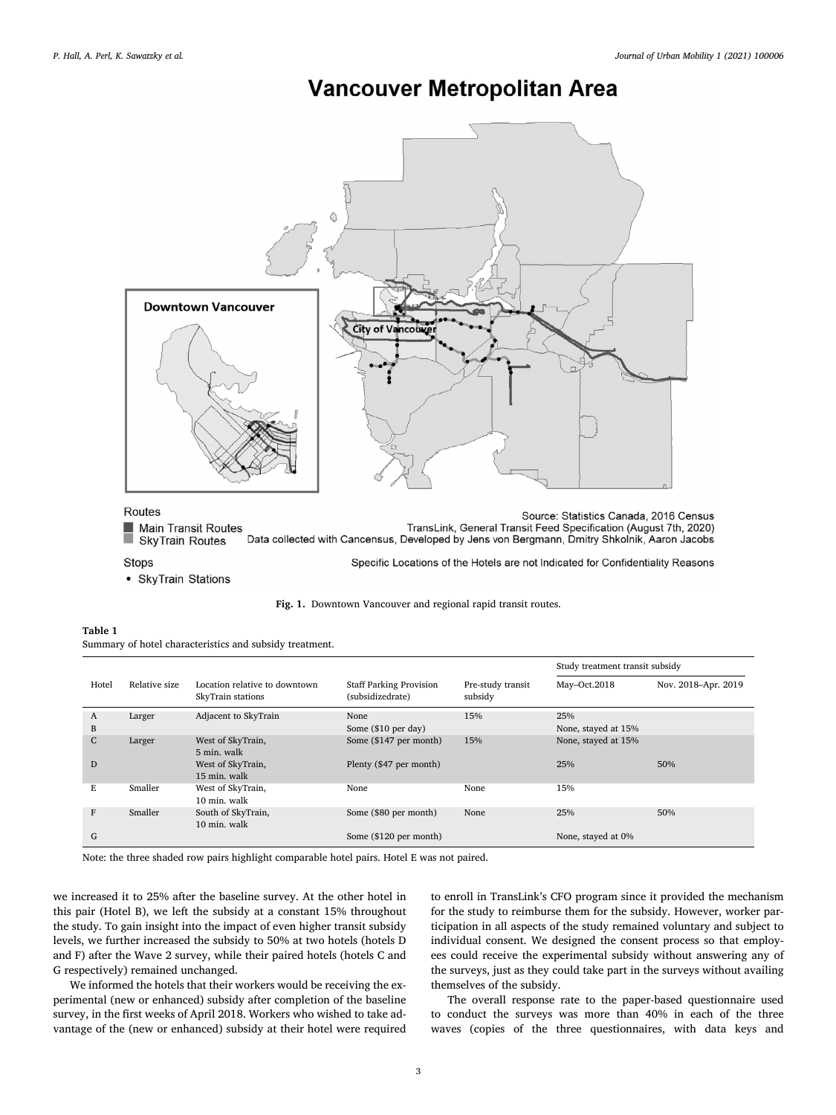# **Vancouver Metropolitan Area**

<span id="page-2-0"></span>

Stops

• SkyTrain Stations

| Table 1 |                                                         |  |
|---------|---------------------------------------------------------|--|
|         | Summary of hotel characteristics and subsidy treatment. |  |

|              |               |                                                    |                                                    |                              | Study treatment transit subsidy |                     |  |
|--------------|---------------|----------------------------------------------------|----------------------------------------------------|------------------------------|---------------------------------|---------------------|--|
| Hotel        | Relative size | Location relative to downtown<br>SkyTrain stations | <b>Staff Parking Provision</b><br>(subsidizedrate) | Pre-study transit<br>subsidy | May-Oct.2018                    | Nov. 2018-Apr. 2019 |  |
| A            | Larger        | Adjacent to SkyTrain                               | None                                               | 15%                          | 25%                             |                     |  |
| В            |               |                                                    | Some (\$10 per day)                                |                              | None, stayed at 15%             |                     |  |
| $\mathsf{C}$ | Larger        | West of SkyTrain,<br>5 min. walk                   | Some (\$147 per month)                             | 15%                          | None, stayed at 15%             |                     |  |
| D            |               | West of SkyTrain,<br>15 min. walk                  | Plenty (\$47 per month)                            |                              | 25%                             | 50%                 |  |
| Е            | Smaller       | West of SkyTrain,<br>10 min. walk                  | None                                               | None                         | 15%                             |                     |  |
| F            | Smaller       | South of SkyTrain,<br>10 min. walk                 | Some (\$80 per month)                              | None                         | 25%                             | 50%                 |  |
| G            |               |                                                    | Some (\$120 per month)                             |                              | None, stayed at 0%              |                     |  |

**Fig. 1.** Downtown Vancouver and regional rapid transit routes.

Note: the three shaded row pairs highlight comparable hotel pairs. Hotel E was not paired.

we increased it to 25% after the baseline survey. At the other hotel in this pair (Hotel B), we left the subsidy at a constant 15% throughout the study. To gain insight into the impact of even higher transit subsidy levels, we further increased the subsidy to 50% at two hotels (hotels D and F) after the Wave 2 survey, while their paired hotels (hotels C and G respectively) remained unchanged.

We informed the hotels that their workers would be receiving the experimental (new or enhanced) subsidy after completion of the baseline survey, in the first weeks of April 2018. Workers who wished to take advantage of the (new or enhanced) subsidy at their hotel were required to enroll in TransLink's CFO program since it provided the mechanism for the study to reimburse them for the subsidy. However, worker participation in all aspects of the study remained voluntary and subject to individual consent. We designed the consent process so that employees could receive the experimental subsidy without answering any of the surveys, just as they could take part in the surveys without availing themselves of the subsidy.

The overall response rate to the paper-based questionnaire used to conduct the surveys was more than 40% in each of the three waves (copies of the three questionnaires, with data keys and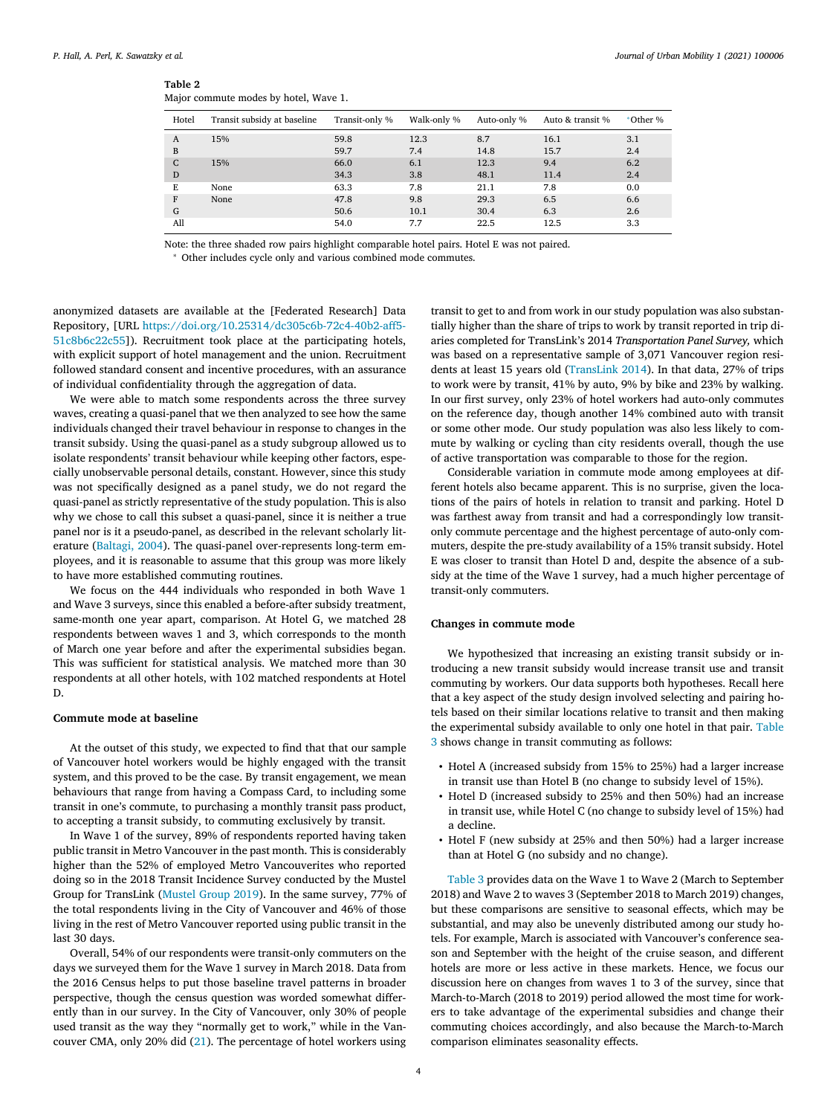<span id="page-3-0"></span>

| ٠ |  |
|---|--|
|---|--|

| Major commute modes by hotel, Wave 1. |  |  |
|---------------------------------------|--|--|
|                                       |  |  |

| Hotel | Transit subsidy at baseline | Transit-only % | Walk-only % | Auto-only % | Auto & transit % | *Other % |
|-------|-----------------------------|----------------|-------------|-------------|------------------|----------|
| A     | 15%                         | 59.8           | 12.3        | 8.7         | 16.1             | 3.1      |
| B     |                             | 59.7           | 7.4         | 14.8        | 15.7             | 2.4      |
| C     | 15%                         | 66.0           | 6.1         | 12.3        | 9.4              | 6.2      |
| D     |                             | 34.3           | 3.8         | 48.1        | 11.4             | 2.4      |
| E     | None                        | 63.3           | 7.8         | 21.1        | 7.8              | 0.0      |
| F     | None                        | 47.8           | 9.8         | 29.3        | 6.5              | 6.6      |
| G     |                             | 50.6           | 10.1        | 30.4        | 6.3              | 2.6      |
| All   |                             | 54.0           | 7.7         | 22.5        | 12.5             | 3.3      |

Note: the three shaded row pairs highlight comparable hotel pairs. Hotel E was not paired.

<sup>∗</sup> Other includes cycle only and various combined mode commutes.

anonymized datasets are available at the [Federated Research] Data Repository, [URL [https://doi.org/10.25314/dc305c6b-72c4-40b2-aff5-](https://doi.org/10.25314/dc305c6b-72c4-40b2-aff5-51c8b6c22c55) 51c8b6c22c55]). Recruitment took place at the participating hotels, with explicit support of hotel management and the union. Recruitment followed standard consent and incentive procedures, with an assurance of individual confidentiality through the aggregation of data.

We were able to match some respondents across the three survey waves, creating a quasi-panel that we then analyzed to see how the same individuals changed their travel behaviour in response to changes in the transit subsidy. Using the quasi-panel as a study subgroup allowed us to isolate respondents' transit behaviour while keeping other factors, especially unobservable personal details, constant. However, since this study was not specifically designed as a panel study, we do not regard the quasi-panel as strictly representative of the study population. This is also why we chose to call this subset a quasi-panel, since it is neither a true panel nor is it a pseudo-panel, as described in the relevant scholarly literature [\(Baltagi,](#page-6-0) 2004). The quasi-panel over-represents long-term employees, and it is reasonable to assume that this group was more likely to have more established commuting routines.

We focus on the 444 individuals who responded in both Wave 1 and Wave 3 surveys, since this enabled a before-after subsidy treatment, same-month one year apart, comparison. At Hotel G, we matched 28 respondents between waves 1 and 3, which corresponds to the month of March one year before and after the experimental subsidies began. This was sufficient for statistical analysis. We matched more than 30 respondents at all other hotels, with 102 matched respondents at Hotel D.

## **Commute mode at baseline**

At the outset of this study, we expected to find that that our sample of Vancouver hotel workers would be highly engaged with the transit system, and this proved to be the case. By transit engagement, we mean behaviours that range from having a Compass Card, to including some transit in one's commute, to purchasing a monthly transit pass product, to accepting a transit subsidy, to commuting exclusively by transit.

In Wave 1 of the survey, 89% of respondents reported having taken public transit in Metro Vancouver in the past month. This is considerably higher than the 52% of employed Metro Vancouverites who reported doing so in the 2018 Transit Incidence Survey conducted by the Mustel Group for TransLink [\(Mustel](#page-6-0) Group 2019). In the same survey, 77% of the total respondents living in the City of Vancouver and 46% of those living in the rest of Metro Vancouver reported using public transit in the last 30 days.

Overall, 54% of our respondents were transit-only commuters on the days we surveyed them for the Wave 1 survey in March 2018. Data from the 2016 Census helps to put those baseline travel patterns in broader perspective, though the census question was worded somewhat differently than in our survey. In the City of Vancouver, only 30% of people used transit as the way they "normally get to work," while in the Vancouver CMA, only 20% did [\(21\)](#page-7-0). The percentage of hotel workers using

transit to get to and from work in our study population was also substantially higher than the share of trips to work by transit reported in trip diaries completed for TransLink's 2014 *Transportation Panel Survey,* which was based on a representative sample of 3,071 Vancouver region residents at least 15 years old [\(TransLink](#page-7-0) 2014). In that data, 27% of trips to work were by transit, 41% by auto, 9% by bike and 23% by walking. In our first survey, only 23% of hotel workers had auto-only commutes on the reference day, though another 14% combined auto with transit or some other mode. Our study population was also less likely to commute by walking or cycling than city residents overall, though the use of active transportation was comparable to those for the region.

Considerable variation in commute mode among employees at different hotels also became apparent. This is no surprise, given the locations of the pairs of hotels in relation to transit and parking. Hotel D was farthest away from transit and had a correspondingly low transitonly commute percentage and the highest percentage of auto-only commuters, despite the pre-study availability of a 15% transit subsidy. Hotel E was closer to transit than Hotel D and, despite the absence of a subsidy at the time of the Wave 1 survey, had a much higher percentage of transit-only commuters.

## **Changes in commute mode**

We hypothesized that increasing an existing transit subsidy or introducing a new transit subsidy would increase transit use and transit commuting by workers. Our data supports both hypotheses. Recall here that a key aspect of the study design involved selecting and pairing hotels based on their similar locations relative to transit and then making the [experimental](#page-4-0) subsidy available to only one hotel in that pair. Table 3 shows change in transit commuting as follows:

- Hotel A (increased subsidy from 15% to 25%) had a larger increase in transit use than Hotel B (no change to subsidy level of 15%).
- Hotel D (increased subsidy to 25% and then 50%) had an increase in transit use, while Hotel C (no change to subsidy level of 15%) had a decline.
- Hotel F (new subsidy at 25% and then 50%) had a larger increase than at Hotel G (no subsidy and no change).

[Table](#page-4-0) 3 provides data on the Wave 1 to Wave 2 (March to September 2018) and Wave 2 to waves 3 (September 2018 to March 2019) changes, but these comparisons are sensitive to seasonal effects, which may be substantial, and may also be unevenly distributed among our study hotels. For example, March is associated with Vancouver's conference season and September with the height of the cruise season, and different hotels are more or less active in these markets. Hence, we focus our discussion here on changes from waves 1 to 3 of the survey, since that March-to-March (2018 to 2019) period allowed the most time for workers to take advantage of the experimental subsidies and change their commuting choices accordingly, and also because the March-to-March comparison eliminates seasonality effects.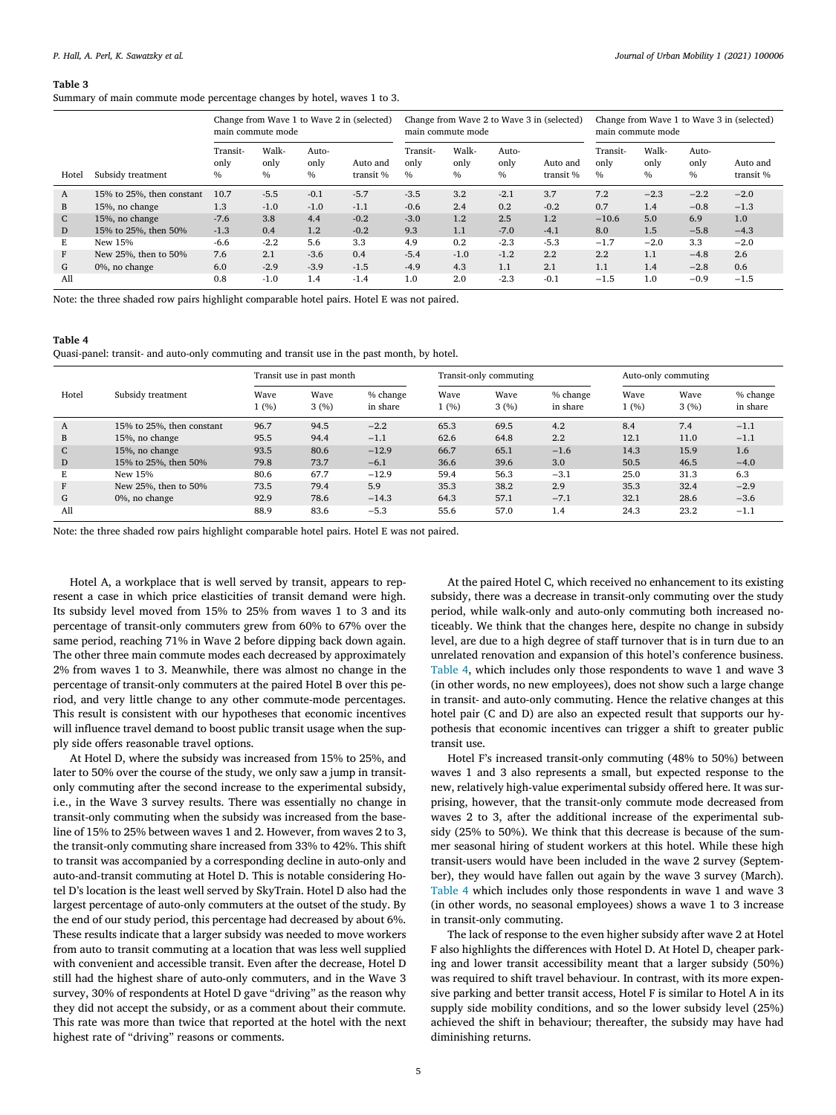#### <span id="page-4-0"></span>**Table 3**

Summary of main commute mode percentage changes by hotel, waves 1 to 3.

|       | Change from Wave 1 to Wave 2 in (selected)<br>main commute mode |                          |                       | Change from Wave 2 to Wave 3 in (selected)<br>main commute mode |                       |                          |                       | Change from Wave 1 to Wave 3 in (selected)<br>main commute mode |                       |                                   |                       |                       |                       |
|-------|-----------------------------------------------------------------|--------------------------|-----------------------|-----------------------------------------------------------------|-----------------------|--------------------------|-----------------------|-----------------------------------------------------------------|-----------------------|-----------------------------------|-----------------------|-----------------------|-----------------------|
| Hotel | Subsidy treatment                                               | Transit-<br>only<br>$\%$ | Walk-<br>only<br>$\%$ | Auto-<br>only<br>$\frac{0}{0}$                                  | Auto and<br>transit % | Transit-<br>only<br>$\%$ | Walk-<br>only<br>$\%$ | Auto-<br>only<br>$\frac{0}{0}$                                  | Auto and<br>transit % | Transit-<br>only<br>$\frac{0}{0}$ | Walk-<br>only<br>$\%$ | Auto-<br>only<br>$\%$ | Auto and<br>transit % |
| A     | 15% to 25%, then constant                                       | 10.7                     | $-5.5$                | $-0.1$                                                          | $-5.7$                | $-3.5$                   | 3.2                   | $-2.1$                                                          | 3.7                   | 7.2                               | $-2.3$                | $-2.2$                | $-2.0$                |
| B.    | 15%, no change                                                  | 1.3                      | $-1.0$                | $-1.0$                                                          | $-1.1$                | $-0.6$                   | 2.4                   | 0.2                                                             | $-0.2$                | 0.7                               | 1.4                   | $-0.8$                | $-1.3$                |
| C.    | 15%, no change                                                  | $-7.6$                   | 3.8                   | 4.4                                                             | $-0.2$                | $-3.0$                   | 1.2                   | 2.5                                                             | 1.2                   | $-10.6$                           | 5.0                   | 6.9                   | 1.0                   |
| D     | 15% to 25%, then 50%                                            | $-1.3$                   | 0.4                   | 1.2                                                             | $-0.2$                | 9.3                      | 1.1                   | $-7.0$                                                          | $-4.1$                | 8.0                               | 1.5                   | $-5.8$                | $-4.3$                |
| F.    | New 15%                                                         | $-6.6$                   | $-2.2$                | 5.6                                                             | 3.3                   | 4.9                      | 0.2                   | $-2.3$                                                          | $-5.3$                | $-1.7$                            | $-2.0$                | 3.3                   | $-2.0$                |
| F     | New 25%, then to 50%                                            | 7.6                      | 2.1                   | $-3.6$                                                          | 0.4                   | $-5.4$                   | $-1.0$                | $-1.2$                                                          | 2.2                   | 2.2                               | 1.1                   | $-4.8$                | 2.6                   |
| G     | 0%, no change                                                   | 6.0                      | $-2.9$                | $-3.9$                                                          | $-1.5$                | $-4.9$                   | 4.3                   | 1.1                                                             | 2.1                   | 1.1                               | 1.4                   | $-2.8$                | 0.6                   |
| All   |                                                                 | 0.8                      | $-1.0$                | 1.4                                                             | $-1.4$                | 1.0                      | 2.0                   | $-2.3$                                                          | $-0.1$                | $-1.5$                            | 1.0                   | $-0.9$                | $-1.5$                |

Note: the three shaded row pairs highlight comparable hotel pairs. Hotel E was not paired.

### **Table 4**

Quasi-panel: transit- and auto-only commuting and transit use in the past month, by hotel.

|              |                           | Transit use in past month |              |                      | Transit-only commuting |              |                      | Auto-only commuting |              |                      |
|--------------|---------------------------|---------------------------|--------------|----------------------|------------------------|--------------|----------------------|---------------------|--------------|----------------------|
| Hotel        | Subsidy treatment         | Wave<br>1(%)              | Wave<br>3(%) | % change<br>in share | Wave<br>1(%)           | Wave<br>3(%) | % change<br>in share | Wave<br>1(%)        | Wave<br>3(%) | % change<br>in share |
| A            | 15% to 25%, then constant | 96.7                      | 94.5         | $-2.2$               | 65.3                   | 69.5         | 4.2                  | 8.4                 | 7.4          | $-1.1$               |
| B            | 15%, no change            | 95.5                      | 94.4         | $-1.1$               | 62.6                   | 64.8         | 2.2                  | 12.1                | 11.0         | $-1.1$               |
| $\mathsf{C}$ | 15%, no change            | 93.5                      | 80.6         | $-12.9$              | 66.7                   | 65.1         | $-1.6$               | 14.3                | 15.9         | 1.6                  |
| D            | 15% to 25%, then 50%      | 79.8                      | 73.7         | $-6.1$               | 36.6                   | 39.6         | 3.0                  | 50.5                | 46.5         | $-4.0$               |
| Е            | New 15%                   | 80.6                      | 67.7         | $-12.9$              | 59.4                   | 56.3         | $-3.1$               | 25.0                | 31.3         | 6.3                  |
| F            | New 25%, then to 50%      | 73.5                      | 79.4         | 5.9                  | 35.3                   | 38.2         | 2.9                  | 35.3                | 32.4         | $-2.9$               |
| G            | 0%, no change             | 92.9                      | 78.6         | $-14.3$              | 64.3                   | 57.1         | $-7.1$               | 32.1                | 28.6         | $-3.6$               |
| All          |                           | 88.9                      | 83.6         | $-5.3$               | 55.6                   | 57.0         | 1.4                  | 24.3                | 23.2         | $-1.1$               |

Note: the three shaded row pairs highlight comparable hotel pairs. Hotel E was not paired.

Hotel A, a workplace that is well served by transit, appears to represent a case in which price elasticities of transit demand were high. Its subsidy level moved from 15% to 25% from waves 1 to 3 and its percentage of transit-only commuters grew from 60% to 67% over the same period, reaching 71% in Wave 2 before dipping back down again. The other three main commute modes each decreased by approximately 2% from waves 1 to 3. Meanwhile, there was almost no change in the percentage of transit-only commuters at the paired Hotel B over this period, and very little change to any other commute-mode percentages. This result is consistent with our hypotheses that economic incentives will influence travel demand to boost public transit usage when the supply side offers reasonable travel options.

At Hotel D, where the subsidy was increased from 15% to 25%, and later to 50% over the course of the study, we only saw a jump in transitonly commuting after the second increase to the experimental subsidy, i.e., in the Wave 3 survey results. There was essentially no change in transit-only commuting when the subsidy was increased from the baseline of 15% to 25% between waves 1 and 2. However, from waves 2 to 3, the transit-only commuting share increased from 33% to 42%. This shift to transit was accompanied by a corresponding decline in auto-only and auto-and-transit commuting at Hotel D. This is notable considering Hotel D's location is the least well served by SkyTrain. Hotel D also had the largest percentage of auto-only commuters at the outset of the study. By the end of our study period, this percentage had decreased by about 6%. These results indicate that a larger subsidy was needed to move workers from auto to transit commuting at a location that was less well supplied with convenient and accessible transit. Even after the decrease, Hotel D still had the highest share of auto-only commuters, and in the Wave 3 survey, 30% of respondents at Hotel D gave "driving" as the reason why they did not accept the subsidy, or as a comment about their commute. This rate was more than twice that reported at the hotel with the next highest rate of "driving" reasons or comments.

At the paired Hotel C, which received no enhancement to its existing subsidy, there was a decrease in transit-only commuting over the study period, while walk-only and auto-only commuting both increased noticeably. We think that the changes here, despite no change in subsidy level, are due to a high degree of staff turnover that is in turn due to an unrelated renovation and expansion of this hotel's conference business. Table 4, which includes only those respondents to wave 1 and wave 3 (in other words, no new employees), does not show such a large change in transit- and auto-only commuting. Hence the relative changes at this hotel pair (C and D) are also an expected result that supports our hypothesis that economic incentives can trigger a shift to greater public transit use.

Hotel F's increased transit-only commuting (48% to 50%) between waves 1 and 3 also represents a small, but expected response to the new, relatively high-value experimental subsidy offered here. It was surprising, however, that the transit-only commute mode decreased from waves 2 to 3, after the additional increase of the experimental subsidy (25% to 50%). We think that this decrease is because of the summer seasonal hiring of student workers at this hotel. While these high transit-users would have been included in the wave 2 survey (September), they would have fallen out again by the wave 3 survey (March). Table 4 which includes only those respondents in wave 1 and wave 3 (in other words, no seasonal employees) shows a wave 1 to 3 increase in transit-only commuting.

The lack of response to the even higher subsidy after wave 2 at Hotel F also highlights the differences with Hotel D. At Hotel D, cheaper parking and lower transit accessibility meant that a larger subsidy (50%) was required to shift travel behaviour. In contrast, with its more expensive parking and better transit access, Hotel F is similar to Hotel A in its supply side mobility conditions, and so the lower subsidy level (25%) achieved the shift in behaviour; thereafter, the subsidy may have had diminishing returns.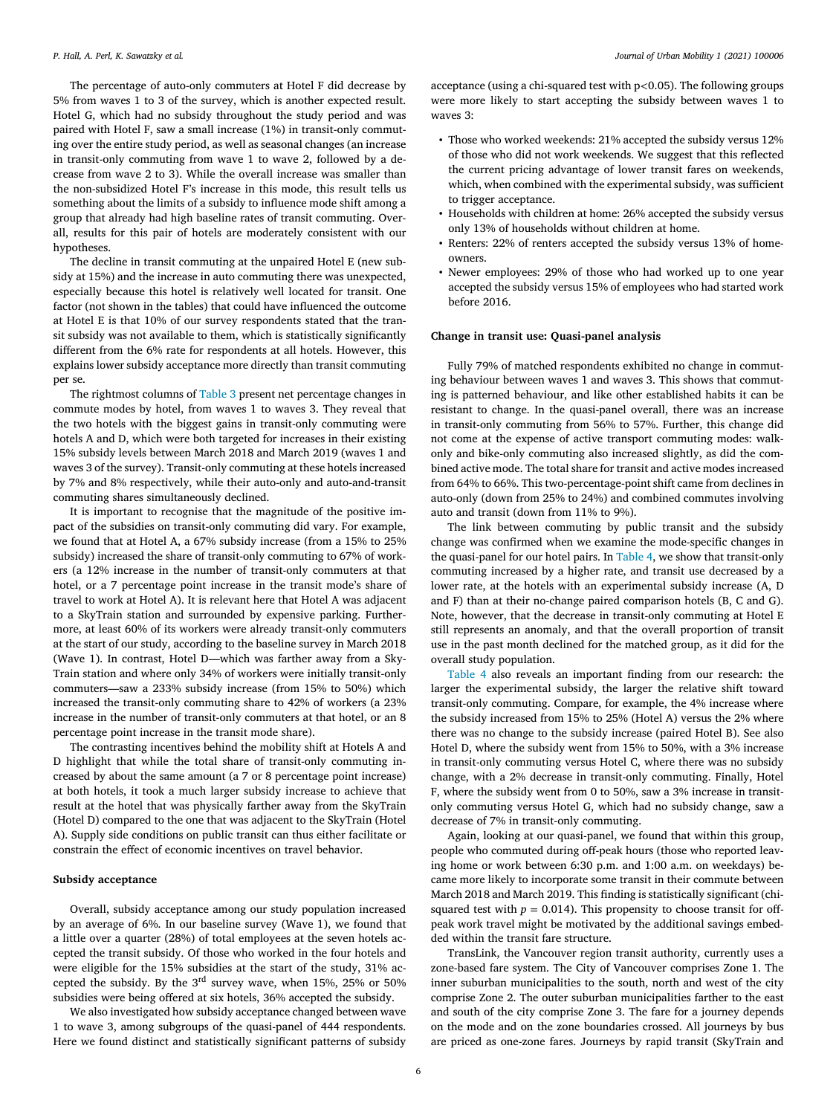The percentage of auto-only commuters at Hotel F did decrease by 5% from waves 1 to 3 of the survey, which is another expected result. Hotel G, which had no subsidy throughout the study period and was paired with Hotel F, saw a small increase (1%) in transit-only commuting over the entire study period, as well as seasonal changes (an increase in transit-only commuting from wave 1 to wave 2, followed by a decrease from wave 2 to 3). While the overall increase was smaller than the non-subsidized Hotel F's increase in this mode, this result tells us something about the limits of a subsidy to influence mode shift among a group that already had high baseline rates of transit commuting. Overall, results for this pair of hotels are moderately consistent with our hypotheses.

The decline in transit commuting at the unpaired Hotel E (new subsidy at 15%) and the increase in auto commuting there was unexpected, especially because this hotel is relatively well located for transit. One factor (not shown in the tables) that could have influenced the outcome at Hotel E is that 10% of our survey respondents stated that the transit subsidy was not available to them, which is statistically significantly different from the 6% rate for respondents at all hotels. However, this explains lower subsidy acceptance more directly than transit commuting per se.

The rightmost columns of [Table](#page-4-0) 3 present net percentage changes in commute modes by hotel, from waves 1 to waves 3. They reveal that the two hotels with the biggest gains in transit-only commuting were hotels A and D, which were both targeted for increases in their existing 15% subsidy levels between March 2018 and March 2019 (waves 1 and waves 3 of the survey). Transit-only commuting at these hotels increased by 7% and 8% respectively, while their auto-only and auto-and-transit commuting shares simultaneously declined.

It is important to recognise that the magnitude of the positive impact of the subsidies on transit-only commuting did vary. For example, we found that at Hotel A, a 67% subsidy increase (from a 15% to 25% subsidy) increased the share of transit-only commuting to 67% of workers (a 12% increase in the number of transit-only commuters at that hotel, or a 7 percentage point increase in the transit mode's share of travel to work at Hotel A). It is relevant here that Hotel A was adjacent to a SkyTrain station and surrounded by expensive parking. Furthermore, at least 60% of its workers were already transit-only commuters at the start of our study, according to the baseline survey in March 2018 (Wave 1). In contrast, Hotel D—which was farther away from a Sky-Train station and where only 34% of workers were initially transit-only commuters—saw a 233% subsidy increase (from 15% to 50%) which increased the transit-only commuting share to 42% of workers (a 23% increase in the number of transit-only commuters at that hotel, or an 8 percentage point increase in the transit mode share).

The contrasting incentives behind the mobility shift at Hotels A and D highlight that while the total share of transit-only commuting increased by about the same amount (a 7 or 8 percentage point increase) at both hotels, it took a much larger subsidy increase to achieve that result at the hotel that was physically farther away from the SkyTrain (Hotel D) compared to the one that was adjacent to the SkyTrain (Hotel A). Supply side conditions on public transit can thus either facilitate or constrain the effect of economic incentives on travel behavior.

#### **Subsidy acceptance**

Overall, subsidy acceptance among our study population increased by an average of 6%. In our baseline survey (Wave 1), we found that a little over a quarter (28%) of total employees at the seven hotels accepted the transit subsidy. Of those who worked in the four hotels and were eligible for the 15% subsidies at the start of the study, 31% accepted the subsidy. By the 3rd survey wave, when 15%, 25% or 50% subsidies were being offered at six hotels, 36% accepted the subsidy.

We also investigated how subsidy acceptance changed between wave 1 to wave 3, among subgroups of the quasi-panel of 444 respondents. Here we found distinct and statistically significant patterns of subsidy acceptance (using a chi-squared test with p*<*0.05). The following groups were more likely to start accepting the subsidy between waves 1 to waves 3:

- Those who worked weekends: 21% accepted the subsidy versus 12% of those who did not work weekends. We suggest that this reflected the current pricing advantage of lower transit fares on weekends, which, when combined with the experimental subsidy, was sufficient to trigger acceptance.
- Households with children at home: 26% accepted the subsidy versus only 13% of households without children at home.
- Renters: 22% of renters accepted the subsidy versus 13% of homeowners.
- Newer employees: 29% of those who had worked up to one year accepted the subsidy versus 15% of employees who had started work before 2016.

#### **Change in transit use: Quasi-panel analysis**

Fully 79% of matched respondents exhibited no change in commuting behaviour between waves 1 and waves 3. This shows that commuting is patterned behaviour, and like other established habits it can be resistant to change. In the quasi-panel overall, there was an increase in transit-only commuting from 56% to 57%. Further, this change did not come at the expense of active transport commuting modes: walkonly and bike-only commuting also increased slightly, as did the combined active mode. The total share for transit and active modes increased from 64% to 66%. This two-percentage-point shift came from declines in auto-only (down from 25% to 24%) and combined commutes involving auto and transit (down from 11% to 9%).

The link between commuting by public transit and the subsidy change was confirmed when we examine the mode-specific changes in the quasi-panel for our hotel pairs. In [Table](#page-4-0) 4, we show that transit-only commuting increased by a higher rate, and transit use decreased by a lower rate, at the hotels with an experimental subsidy increase (A, D and F) than at their no-change paired comparison hotels (B, C and G). Note, however, that the decrease in transit-only commuting at Hotel E still represents an anomaly, and that the overall proportion of transit use in the past month declined for the matched group, as it did for the overall study population.

[Table](#page-4-0) 4 also reveals an important finding from our research: the larger the experimental subsidy, the larger the relative shift toward transit-only commuting. Compare, for example, the 4% increase where the subsidy increased from 15% to 25% (Hotel A) versus the 2% where there was no change to the subsidy increase (paired Hotel B). See also Hotel D, where the subsidy went from 15% to 50%, with a 3% increase in transit-only commuting versus Hotel C, where there was no subsidy change, with a 2% decrease in transit-only commuting. Finally, Hotel F, where the subsidy went from 0 to 50%, saw a 3% increase in transitonly commuting versus Hotel G, which had no subsidy change, saw a decrease of 7% in transit-only commuting.

Again, looking at our quasi-panel, we found that within this group, people who commuted during off-peak hours (those who reported leaving home or work between 6:30 p.m. and 1:00 a.m. on weekdays) became more likely to incorporate some transit in their commute between March 2018 and March 2019. This finding is statistically significant (chisquared test with  $p = 0.014$ ). This propensity to choose transit for offpeak work travel might be motivated by the additional savings embedded within the transit fare structure.

TransLink, the Vancouver region transit authority, currently uses a zone-based fare system. The City of Vancouver comprises Zone 1. The inner suburban municipalities to the south, north and west of the city comprise Zone 2. The outer suburban municipalities farther to the east and south of the city comprise Zone 3. The fare for a journey depends on the mode and on the zone boundaries crossed. All journeys by bus are priced as one-zone fares. Journeys by rapid transit (SkyTrain and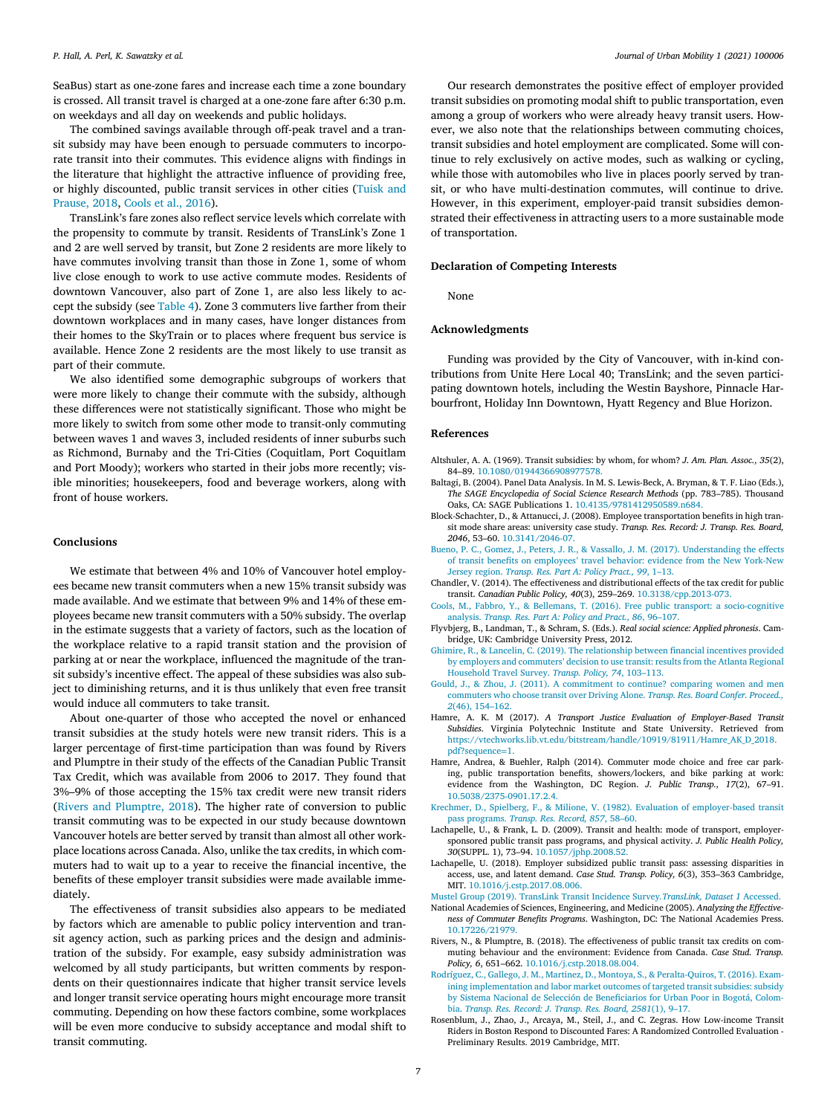<span id="page-6-0"></span>SeaBus) start as one-zone fares and increase each time a zone boundary is crossed. All transit travel is charged at a one-zone fare after 6:30 p.m. on weekdays and all day on weekends and public holidays.

The combined savings available through off-peak travel and a transit subsidy may have been enough to persuade commuters to incorporate transit into their commutes. This evidence aligns with findings in the literature that highlight the attractive influence of providing free, or highly [discounted,](#page-7-0) public transit services in other cities (Tuisk and Prause, 2018, Cools et al., 2016).

TransLink's fare zones also reflect service levels which correlate with the propensity to commute by transit. Residents of TransLink's Zone 1 and 2 are well served by transit, but Zone 2 residents are more likely to have commutes involving transit than those in Zone 1, some of whom live close enough to work to use active commute modes. Residents of downtown Vancouver, also part of Zone 1, are also less likely to accept the subsidy (see [Table](#page-4-0) 4). Zone 3 commuters live farther from their downtown workplaces and in many cases, have longer distances from their homes to the SkyTrain or to places where frequent bus service is available. Hence Zone 2 residents are the most likely to use transit as part of their commute.

We also identified some demographic subgroups of workers that were more likely to change their commute with the subsidy, although these differences were not statistically significant. Those who might be more likely to switch from some other mode to transit-only commuting between waves 1 and waves 3, included residents of inner suburbs such as Richmond, Burnaby and the Tri-Cities (Coquitlam, Port Coquitlam and Port Moody); workers who started in their jobs more recently; visible minorities; housekeepers, food and beverage workers, along with front of house workers.

#### **Conclusions**

We estimate that between 4% and 10% of Vancouver hotel employees became new transit commuters when a new 15% transit subsidy was made available. And we estimate that between 9% and 14% of these employees became new transit commuters with a 50% subsidy. The overlap in the estimate suggests that a variety of factors, such as the location of the workplace relative to a rapid transit station and the provision of parking at or near the workplace, influenced the magnitude of the transit subsidy's incentive effect. The appeal of these subsidies was also subject to diminishing returns, and it is thus unlikely that even free transit would induce all commuters to take transit.

About one-quarter of those who accepted the novel or enhanced transit subsidies at the study hotels were new transit riders. This is a larger percentage of first-time participation than was found by Rivers and Plumptre in their study of the effects of the Canadian Public Transit Tax Credit, which was available from 2006 to 2017. They found that 3%–9% of those accepting the 15% tax credit were new transit riders (Rivers and Plumptre, 2018). The higher rate of conversion to public transit commuting was to be expected in our study because downtown Vancouver hotels are better served by transit than almost all other workplace locations across Canada. Also, unlike the tax credits, in which commuters had to wait up to a year to receive the financial incentive, the benefits of these employer transit subsidies were made available immediately.

The effectiveness of transit subsidies also appears to be mediated by factors which are amenable to public policy intervention and transit agency action, such as parking prices and the design and administration of the subsidy. For example, easy subsidy administration was welcomed by all study participants, but written comments by respondents on their questionnaires indicate that higher transit service levels and longer transit service operating hours might encourage more transit commuting. Depending on how these factors combine, some workplaces will be even more conducive to subsidy acceptance and modal shift to transit commuting.

Our research demonstrates the positive effect of employer provided transit subsidies on promoting modal shift to public transportation, even among a group of workers who were already heavy transit users. However, we also note that the relationships between commuting choices, transit subsidies and hotel employment are complicated. Some will continue to rely exclusively on active modes, such as walking or cycling, while those with automobiles who live in places poorly served by transit, or who have multi-destination commutes, will continue to drive. However, in this experiment, employer-paid transit subsidies demonstrated their effectiveness in attracting users to a more sustainable mode of transportation.

### **Declaration of Competing Interests**

None

## **Acknowledgments**

Funding was provided by the City of Vancouver, with in-kind contributions from Unite Here Local 40; TransLink; and the seven participating downtown hotels, including the Westin Bayshore, Pinnacle Harbourfront, Holiday Inn Downtown, Hyatt Regency and Blue Horizon.

#### **References**

- Altshuler, A. A. (1969). Transit subsidies: by whom, for whom? *J. Am. Plan. Assoc., 35*(2), 84–89. [10.1080/01944366908977578.](https://doi.org/10.1080/01944366908977578)
- Baltagi, B. (2004). Panel Data Analysis. In M. S. Lewis-Beck, A. Bryman, & T. F. Liao (Eds.), *The SAGE Encyclopedia of Social Science Research Methods* (pp. 783–785). Thousand Oaks, CA: SAGE Publications 1. [10.4135/9781412950589.n684.](https://doi.org/10.4135/9781412950589.n684)
- Block-Schachter, D., & Attanucci, J. (2008). Employee transportation benefits in high transit mode share areas: university case study. *Transp. Res. Record: J. Transp. Res. Board, 2046*, 53–60. [10.3141/2046-07.](https://doi.org/10.3141/2046-07)
- [Bueno,](http://refhub.elsevier.com/S2667-0917(21)00006-6/sbref0001) P. C., [Gomez,](http://refhub.elsevier.com/S2667-0917(21)00006-6/sbref0001) J., [Peters,](http://refhub.elsevier.com/S2667-0917(21)00006-6/sbref0001) J. R., [&](http://refhub.elsevier.com/S2667-0917(21)00006-6/sbref0001) [Vassallo,](http://refhub.elsevier.com/S2667-0917(21)00006-6/sbref0001) J. M. (2017). [Understanding](http://refhub.elsevier.com/S2667-0917(21)00006-6/sbref0001) the effects of transit benefits on employees' travel behavior: evidence from the New York-New Jersey region. *Transp. Res. Part A: Policy Pract., 99*, 1–13.
- Chandler, V. (2014). The effectiveness and distributional effects of the tax credit for public transit. *Canadian Public Policy, 40*(3), 259–269. [10.3138/cpp.2013-073.](https://doi.org/10.3138/cpp.2013-073)
- [Cools,](http://refhub.elsevier.com/S2667-0917(21)00006-6/sbref0024) M., [Fabbro,](http://refhub.elsevier.com/S2667-0917(21)00006-6/sbref0024) Y., [&](http://refhub.elsevier.com/S2667-0917(21)00006-6/sbref0024) [Bellemans,](http://refhub.elsevier.com/S2667-0917(21)00006-6/sbref0024) T. (2016). Free public transport: a [socio-cognitive](http://refhub.elsevier.com/S2667-0917(21)00006-6/sbref0024) analysis. *Transp. Res. Part A: Policy and Pract., 86*, 96–107.
- Flyvbjerg, B., Landman, T., & Schram, S. (Eds.). *Real social science: Applied phronesis*. Cambridge, UK: Cambridge University Press, 2012.
- [Ghimire,](http://refhub.elsevier.com/S2667-0917(21)00006-6/sbref0002) R., [&](http://refhub.elsevier.com/S2667-0917(21)00006-6/sbref0002) [Lancelin,](http://refhub.elsevier.com/S2667-0917(21)00006-6/sbref0002) C. (2019). The [relationship](http://refhub.elsevier.com/S2667-0917(21)00006-6/sbref0002) between financial incentives provided by employers and commuters' decision to use transit: results from the Atlanta Regional Household Travel Survey. *Transp. Policy, 74*, 103–113.
- [Gould,](http://refhub.elsevier.com/S2667-0917(21)00006-6/sbref0012) J., [&](http://refhub.elsevier.com/S2667-0917(21)00006-6/sbref0012) [Zhou,](http://refhub.elsevier.com/S2667-0917(21)00006-6/sbref0012) J. (2011). A [commitment](http://refhub.elsevier.com/S2667-0917(21)00006-6/sbref0012) to continue? comparing women and men commuters who choose transit over Driving Alone. *Transp. Res. Board Confer. Proceed., 2*(46), 154–162.
- Hamre, A. K. M (2017). *A Transport Justice Evaluation of Employer-Based Transit Subsidies*. Virginia Polytechnic Institute and State University. Retrieved from [https://vtechworks.lib.vt.edu/bitstream/handle/10919/81911/Hamre\\_AK\\_D\\_2018.](https://vtechworks.lib.vt.edu/bitstream/handle/10919/81911/Hamre_AK_D_2018.pdf?sequence=1)  $ndP$ sequence=1
- Hamre, Andrea, & Buehler, Ralph (2014). Commuter mode choice and free car parking, public transportation benefits, showers/lockers, and bike parking at work: evidence from the Washington, DC Region. *J. Public Transp., 17*(2), 67–91. [10.5038/2375-0901.17.2.4.](https://doi.org/10.5038/2375-0901.17.2.4)
- [Krechmer,](http://refhub.elsevier.com/S2667-0917(21)00006-6/sbref0017) D., [Spielberg,](http://refhub.elsevier.com/S2667-0917(21)00006-6/sbref0017) F., [&](http://refhub.elsevier.com/S2667-0917(21)00006-6/sbref0017) [Milione,](http://refhub.elsevier.com/S2667-0917(21)00006-6/sbref0017) V. (1982). Evaluation of [employer-based](http://refhub.elsevier.com/S2667-0917(21)00006-6/sbref0017) transit pass programs. *Transp. Res. Record, 857*, 58–60.
- Lachapelle, U., & Frank, L. D. (2009). Transit and health: mode of transport, employersponsored public transit pass programs, and physical activity. *J. Public Health Policy, 30*(SUPPL. 1), 73–94. [10.1057/jphp.2008.52.](https://doi.org/10.1057/jphp.2008.52)
- Lachapelle, U. (2018). Employer subsidized public transit pass: assessing disparities in access, use, and latent demand. *Case Stud. Transp. Policy, 6*(3), 353–363 Cambridge, MIT. [10.1016/j.cstp.2017.08.006.](https://doi.org/10.1016/j.cstp.2017.08.006)
- [Mustel](http://refhub.elsevier.com/S2667-0917(21)00006-6/sbref0020) Group (2019). TransLink Transit Incidence Survey*[.TransLink,](http://refhub.elsevier.com/S2667-0917(21)00006-6/sbref0020) Dataset 1* Accessed.
- National Academies of Sciences, Engineering, and Medicine (2005). *Analyzing the Effectiveness of Commuter Benefits Programs*. Washington, DC: The National Academies Press. [10.17226/21979.](https://doi.org/10.17226/21979)
- Rivers, N., & Plumptre, B. (2018). The effectiveness of public transit tax credits on commuting behaviour and the environment: Evidence from Canada. *Case Stud. Transp. Policy, 6*, 651–662. [10.1016/j.cstp.2018.08.004.](https://doi.org/10.1016/j.cstp.2018.08.004)
- [Rodríguez,](http://refhub.elsevier.com/S2667-0917(21)00006-6/sbref0013) C., [Gallego,](http://refhub.elsevier.com/S2667-0917(21)00006-6/sbref0013) J. M., [Martinez,](http://refhub.elsevier.com/S2667-0917(21)00006-6/sbref0013) D., [Montoya,](http://refhub.elsevier.com/S2667-0917(21)00006-6/sbref0013) S., [&](http://refhub.elsevier.com/S2667-0917(21)00006-6/sbref0013) [Peralta-Quiros,](http://refhub.elsevier.com/S2667-0917(21)00006-6/sbref0013) T. (2016). Examining [implementation](http://refhub.elsevier.com/S2667-0917(21)00006-6/sbref0013) and labor market outcomes of targeted transit subsidies: subsidy by Sistema Nacional de Selección de Beneficiarios for Urban Poor in Bogotá, Colombia. *Transp. Res. Record: J. Transp. Res. Board, 2581*(1), 9–17.
- Rosenblum, J., Zhao, J., Arcaya, M., Steil, J., and C. Zegras. How Low-income Transit Riders in Boston Respond to Discounted Fares: A Randomized Controlled Evaluation - Preliminary Results. 2019 Cambridge, MIT.